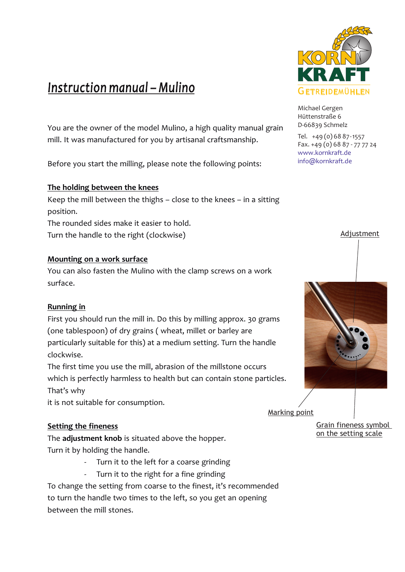# *Instruction manual – Mulino*

You are the owner of the model Mulino, a high quality manual grain mill. It was manufactured for you by artisanal craftsmanship.

Before you start the milling, please note the following points:

# **The holding between the knees**

Keep the mill between the thighs – close to the knees – in a sitting position.

The rounded sides make it easier to hold. Turn the handle to the right (clockwise)

#### **Mounting on a work surface**

You can also fasten the Mulino with the clamp screws on a work surface.

# **Running in**

First you should run the mill in. Do this by milling approx. 30 grams (one tablespoon) of dry grains ( wheat, millet or barley are particularly suitable for this) at a medium setting. Turn the handle clockwise.

The first time you use the mill, abrasion of the millstone occurs which is perfectly harmless to health but can contain stone particles. That's why

it is not suitable for consumption.

# **Setting the fineness**

The **adjustment knob** is situated above the hopper. Turn it by holding the handle.

- Turn it to the left for a coarse grinding
- Turn it to the right for a fine grinding

To change the setting from coarse to the finest, it's recommended to turn the handle two times to the left, so you get an opening between the mill stones.



Michael Gergen Hüttenstraße 6 D-66839 Schmelz

Tel. +49 (0) 68 87-1557 Fax. +49 (0) 68 87 - 77 77 24 www.kornkraft.de info@kornkraft.de





Marking point

Grain fineness symbol on the setting scale